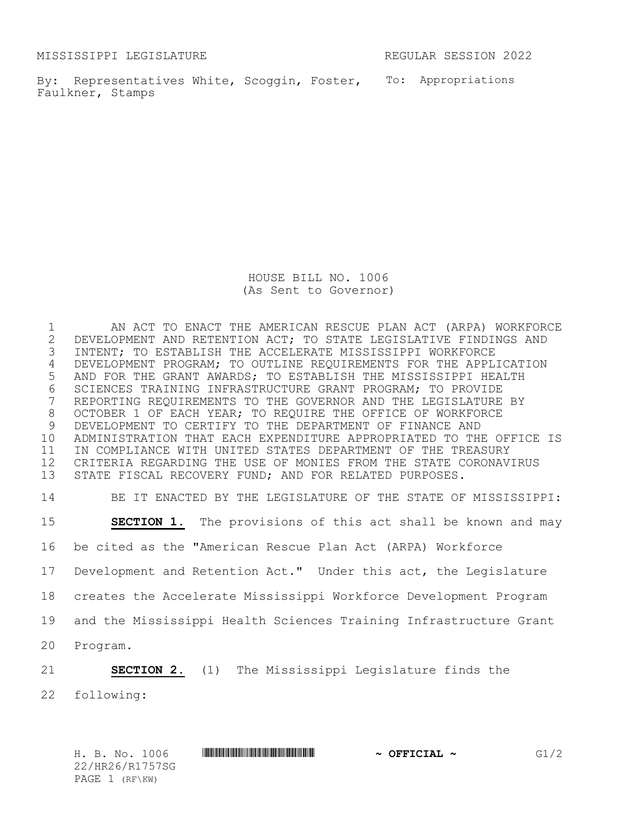MISSISSIPPI LEGISLATURE REGULAR SESSION 2022

By: Representatives White, Scoggin, Foster, To: Appropriations Faulkner, Stamps

> HOUSE BILL NO. 1006 (As Sent to Governor)

 AN ACT TO ENACT THE AMERICAN RESCUE PLAN ACT (ARPA) WORKFORCE 2 DEVELOPMENT AND RETENTION ACT; TO STATE LEGISLATIVE FINDINGS AND<br>3 INTENT; TO ESTABLISH THE ACCELERATE MISSISSIPPI WORKFORCE INTENT; TO ESTABLISH THE ACCELERATE MISSISSIPPI WORKFORCE DEVELOPMENT PROGRAM; TO OUTLINE REQUIREMENTS FOR THE APPLICATION AND FOR THE GRANT AWARDS; TO ESTABLISH THE MISSISSIPPI HEALTH 6 SCIENCES TRAINING INFRASTRUCTURE GRANT PROGRAM; TO PROVIDE<br>7 REPORTING REQUIREMENTS TO THE GOVERNOR AND THE LEGISLATURE REPORTING REQUIREMENTS TO THE GOVERNOR AND THE LEGISLATURE BY OCTOBER 1 OF EACH YEAR; TO REQUIRE THE OFFICE OF WORKFORCE DEVELOPMENT TO CERTIFY TO THE DEPARTMENT OF FINANCE AND ADMINISTRATION THAT EACH EXPENDITURE APPROPRIATED TO THE OFFICE IS IN COMPLIANCE WITH UNITED STATES DEPARTMENT OF THE TREASURY CRITERIA REGARDING THE USE OF MONIES FROM THE STATE CORONAVIRUS STATE FISCAL RECOVERY FUND; AND FOR RELATED PURPOSES.

 BE IT ENACTED BY THE LEGISLATURE OF THE STATE OF MISSISSIPPI: **SECTION 1.** The provisions of this act shall be known and may be cited as the "American Rescue Plan Act (ARPA) Workforce Development and Retention Act." Under this act, the Legislature creates the Accelerate Mississippi Workforce Development Program and the Mississippi Health Sciences Training Infrastructure Grant Program.

**SECTION 2.** (1) The Mississippi Legislature finds the

following: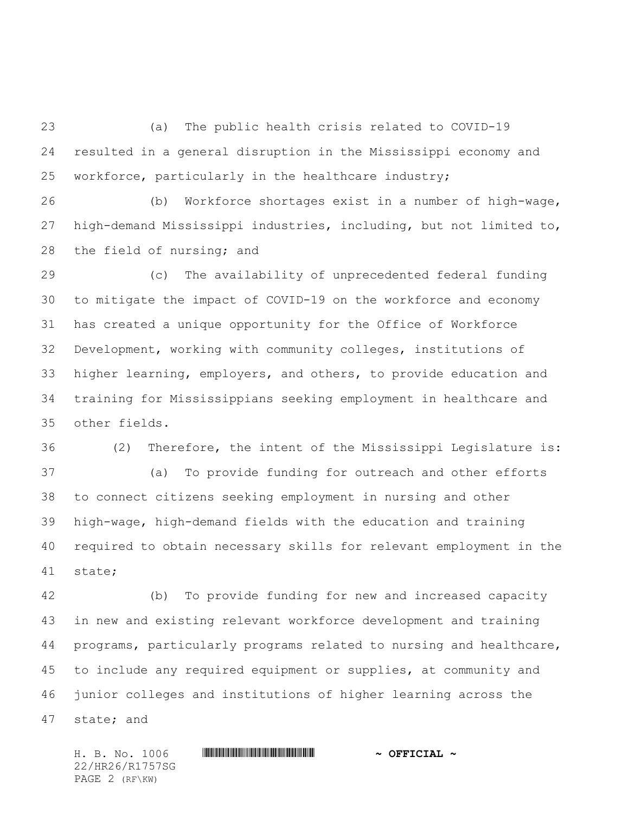(a) The public health crisis related to COVID-19 resulted in a general disruption in the Mississippi economy and workforce, particularly in the healthcare industry;

 (b) Workforce shortages exist in a number of high-wage, high-demand Mississippi industries, including, but not limited to, the field of nursing; and

 (c) The availability of unprecedented federal funding to mitigate the impact of COVID-19 on the workforce and economy has created a unique opportunity for the Office of Workforce Development, working with community colleges, institutions of higher learning, employers, and others, to provide education and training for Mississippians seeking employment in healthcare and other fields.

 (2) Therefore, the intent of the Mississippi Legislature is: (a) To provide funding for outreach and other efforts to connect citizens seeking employment in nursing and other high-wage, high-demand fields with the education and training required to obtain necessary skills for relevant employment in the state;

 (b) To provide funding for new and increased capacity in new and existing relevant workforce development and training programs, particularly programs related to nursing and healthcare, to include any required equipment or supplies, at community and junior colleges and institutions of higher learning across the state; and

22/HR26/R1757SG PAGE 2 (RF\KW)

H. B. No. 1006 \*HR26/R1757SG\* **~ OFFICIAL ~**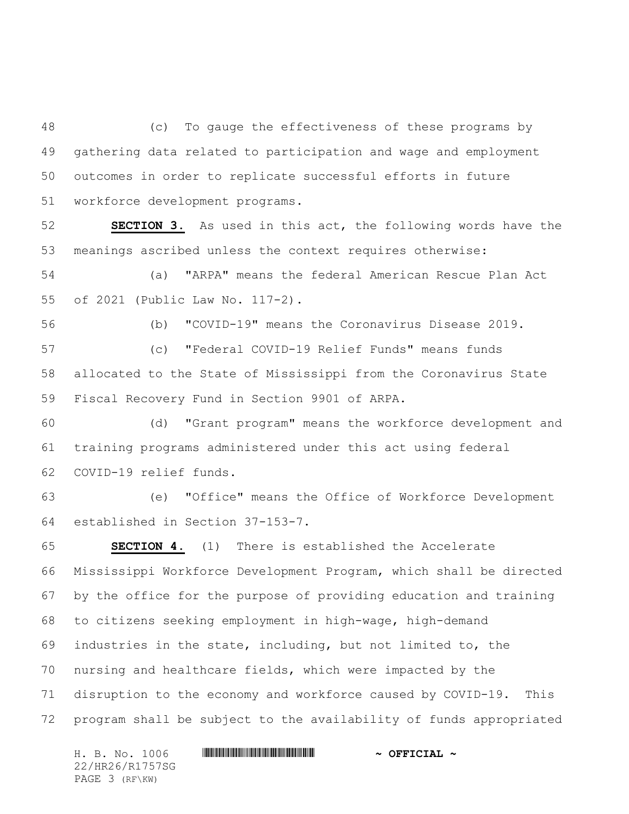(c) To gauge the effectiveness of these programs by gathering data related to participation and wage and employment outcomes in order to replicate successful efforts in future workforce development programs.

 **SECTION 3.** As used in this act, the following words have the meanings ascribed unless the context requires otherwise:

 (a) "ARPA" means the federal American Rescue Plan Act of 2021 (Public Law No. 117-2).

(b) "COVID-19" means the Coronavirus Disease 2019.

 (c) "Federal COVID-19 Relief Funds" means funds allocated to the State of Mississippi from the Coronavirus State Fiscal Recovery Fund in Section 9901 of ARPA.

 (d) "Grant program" means the workforce development and training programs administered under this act using federal COVID-19 relief funds.

 (e) "Office" means the Office of Workforce Development established in Section 37-153-7.

 **SECTION 4.** (1) There is established the Accelerate Mississippi Workforce Development Program, which shall be directed by the office for the purpose of providing education and training to citizens seeking employment in high-wage, high-demand industries in the state, including, but not limited to, the nursing and healthcare fields, which were impacted by the disruption to the economy and workforce caused by COVID-19. This program shall be subject to the availability of funds appropriated

H. B. No. 1006 \*HR26/R1757SG\* **~ OFFICIAL ~** 22/HR26/R1757SG PAGE 3 (RF\KW)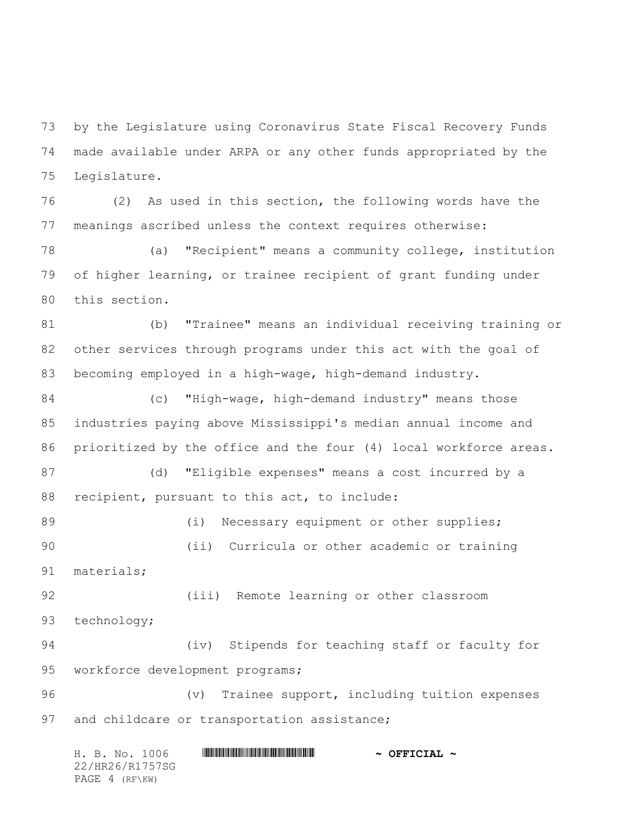by the Legislature using Coronavirus State Fiscal Recovery Funds made available under ARPA or any other funds appropriated by the Legislature.

 (2) As used in this section, the following words have the meanings ascribed unless the context requires otherwise:

 (a) "Recipient" means a community college, institution of higher learning, or trainee recipient of grant funding under this section.

 (b) "Trainee" means an individual receiving training or other services through programs under this act with the goal of becoming employed in a high-wage, high-demand industry.

 (c) "High-wage, high-demand industry" means those industries paying above Mississippi's median annual income and prioritized by the office and the four (4) local workforce areas.

 (d) "Eligible expenses" means a cost incurred by a recipient, pursuant to this act, to include:

89 (i) Necessary equipment or other supplies; (ii) Curricula or other academic or training materials;

 (iii) Remote learning or other classroom technology;

 (iv) Stipends for teaching staff or faculty for workforce development programs;

 (v) Trainee support, including tuition expenses 97 and childcare or transportation assistance;

H. B. No. 1006 \*HR26/R1757SG\* **~ OFFICIAL ~** 22/HR26/R1757SG PAGE 4 (RF\KW)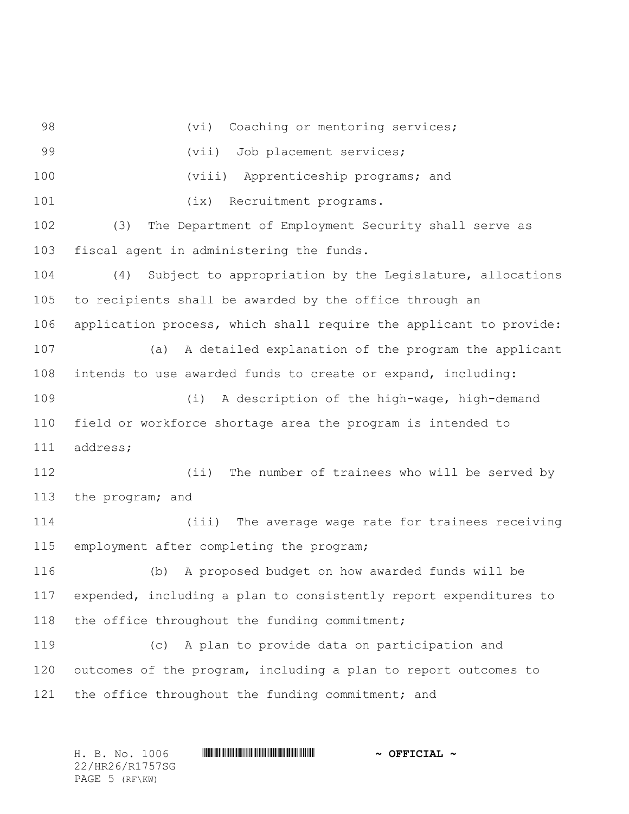98 (vi) Coaching or mentoring services; 99 (vii) Job placement services; (viii) Apprenticeship programs; and 101 (ix) Recruitment programs. (3) The Department of Employment Security shall serve as fiscal agent in administering the funds. (4) Subject to appropriation by the Legislature, allocations to recipients shall be awarded by the office through an application process, which shall require the applicant to provide: (a) A detailed explanation of the program the applicant intends to use awarded funds to create or expand, including: (i) A description of the high-wage, high-demand field or workforce shortage area the program is intended to address; (ii) The number of trainees who will be served by the program; and (iii) The average wage rate for trainees receiving employment after completing the program; (b) A proposed budget on how awarded funds will be expended, including a plan to consistently report expenditures to 118 the office throughout the funding commitment; (c) A plan to provide data on participation and outcomes of the program, including a plan to report outcomes to 121 the office throughout the funding commitment; and

H. B. No. 1006 \*HR26/R1757SG\* **~ OFFICIAL ~** 22/HR26/R1757SG PAGE 5 (RF\KW)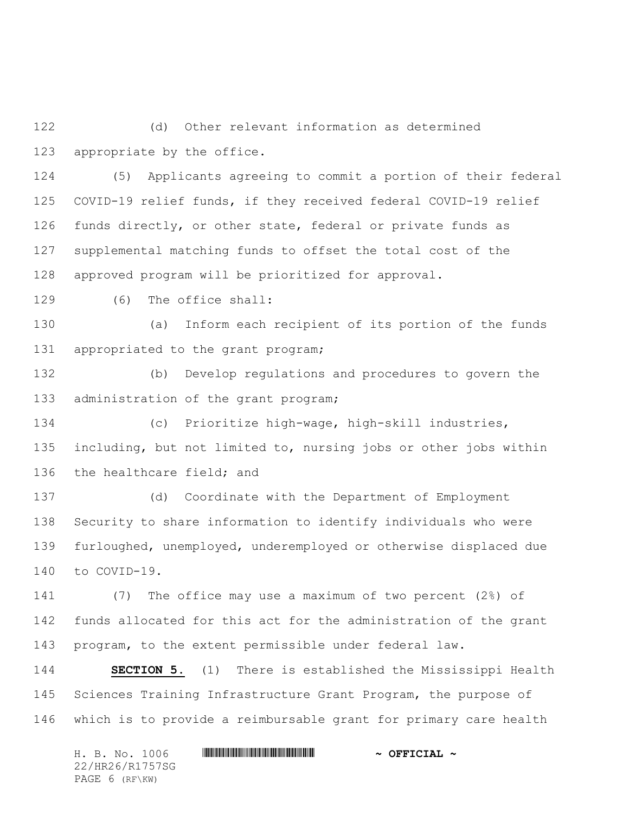(d) Other relevant information as determined appropriate by the office.

 (5) Applicants agreeing to commit a portion of their federal COVID-19 relief funds, if they received federal COVID-19 relief funds directly, or other state, federal or private funds as supplemental matching funds to offset the total cost of the approved program will be prioritized for approval.

(6) The office shall:

 (a) Inform each recipient of its portion of the funds 131 appropriated to the grant program;

 (b) Develop regulations and procedures to govern the 133 administration of the grant program;

 (c) Prioritize high-wage, high-skill industries, including, but not limited to, nursing jobs or other jobs within the healthcare field; and

 (d) Coordinate with the Department of Employment Security to share information to identify individuals who were furloughed, unemployed, underemployed or otherwise displaced due to COVID-19.

 (7) The office may use a maximum of two percent (2%) of funds allocated for this act for the administration of the grant program, to the extent permissible under federal law.

 **SECTION 5.** (1) There is established the Mississippi Health Sciences Training Infrastructure Grant Program, the purpose of which is to provide a reimbursable grant for primary care health

H. B. No. 1006 \*HR26/R1757SG\* **~ OFFICIAL ~** 22/HR26/R1757SG PAGE 6 (RF\KW)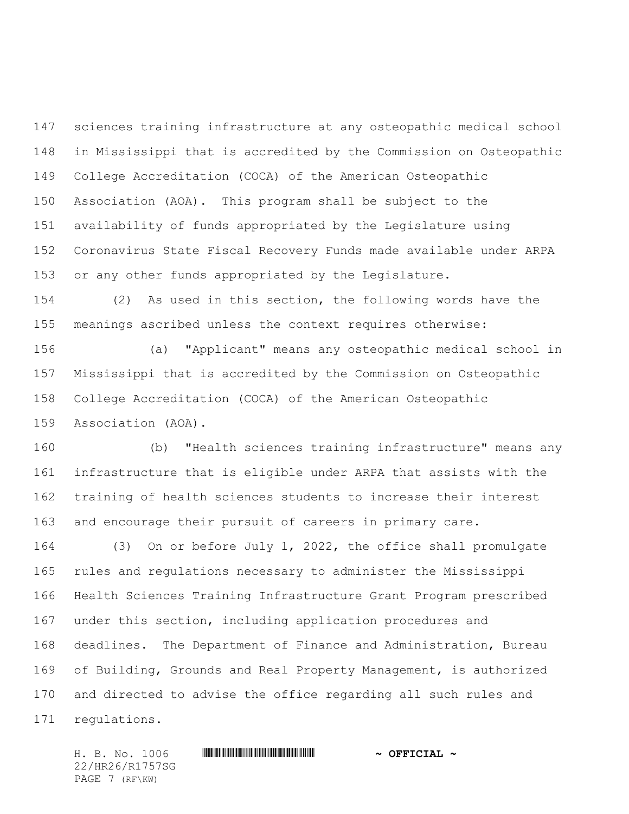sciences training infrastructure at any osteopathic medical school in Mississippi that is accredited by the Commission on Osteopathic College Accreditation (COCA) of the American Osteopathic Association (AOA). This program shall be subject to the availability of funds appropriated by the Legislature using Coronavirus State Fiscal Recovery Funds made available under ARPA or any other funds appropriated by the Legislature.

 (2) As used in this section, the following words have the meanings ascribed unless the context requires otherwise:

 (a) "Applicant" means any osteopathic medical school in Mississippi that is accredited by the Commission on Osteopathic College Accreditation (COCA) of the American Osteopathic Association (AOA).

 (b) "Health sciences training infrastructure" means any infrastructure that is eligible under ARPA that assists with the training of health sciences students to increase their interest and encourage their pursuit of careers in primary care.

 (3) On or before July 1, 2022, the office shall promulgate rules and regulations necessary to administer the Mississippi Health Sciences Training Infrastructure Grant Program prescribed under this section, including application procedures and deadlines. The Department of Finance and Administration, Bureau of Building, Grounds and Real Property Management, is authorized and directed to advise the office regarding all such rules and regulations.

H. B. No. 1006 \*HR26/R1757SG\* **~ OFFICIAL ~** 22/HR26/R1757SG PAGE 7 (RF\KW)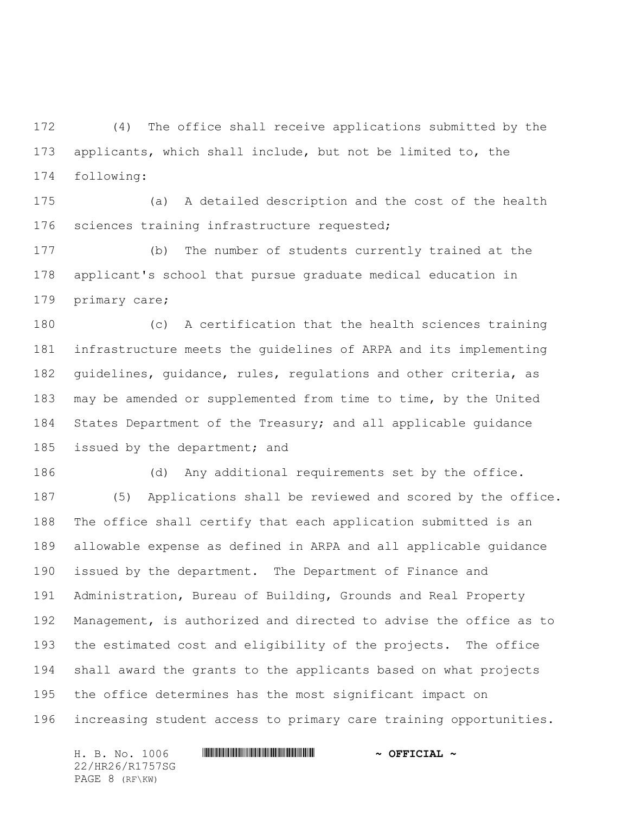(4) The office shall receive applications submitted by the applicants, which shall include, but not be limited to, the following:

 (a) A detailed description and the cost of the health sciences training infrastructure requested;

 (b) The number of students currently trained at the applicant's school that pursue graduate medical education in primary care;

 (c) A certification that the health sciences training infrastructure meets the guidelines of ARPA and its implementing guidelines, guidance, rules, regulations and other criteria, as may be amended or supplemented from time to time, by the United States Department of the Treasury; and all applicable guidance 185 issued by the department; and

 (d) Any additional requirements set by the office. (5) Applications shall be reviewed and scored by the office. The office shall certify that each application submitted is an allowable expense as defined in ARPA and all applicable guidance issued by the department. The Department of Finance and Administration, Bureau of Building, Grounds and Real Property Management, is authorized and directed to advise the office as to the estimated cost and eligibility of the projects. The office shall award the grants to the applicants based on what projects the office determines has the most significant impact on increasing student access to primary care training opportunities.

H. B. No. 1006 \*HR26/R1757SG\* **~ OFFICIAL ~** 22/HR26/R1757SG PAGE 8 (RF\KW)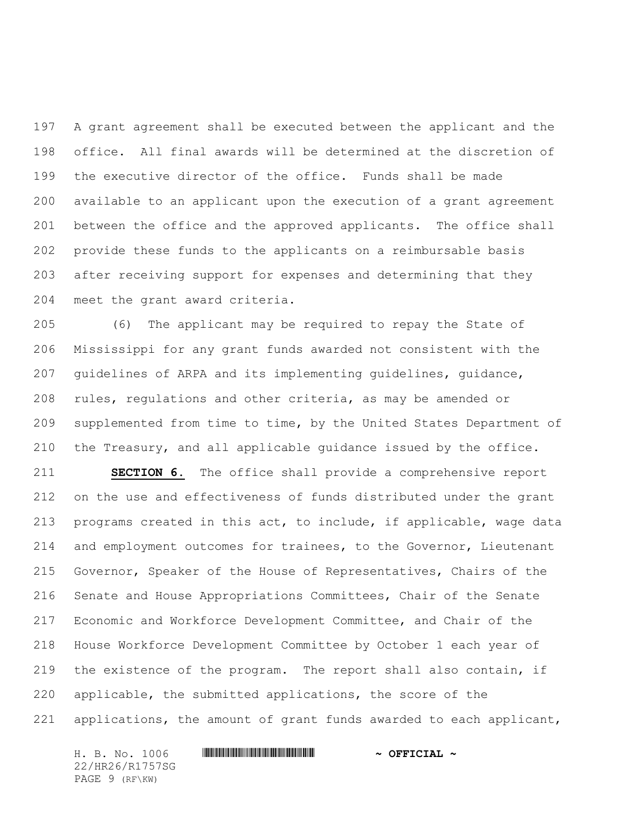A grant agreement shall be executed between the applicant and the office. All final awards will be determined at the discretion of the executive director of the office. Funds shall be made available to an applicant upon the execution of a grant agreement between the office and the approved applicants. The office shall provide these funds to the applicants on a reimbursable basis after receiving support for expenses and determining that they meet the grant award criteria.

 (6) The applicant may be required to repay the State of Mississippi for any grant funds awarded not consistent with the guidelines of ARPA and its implementing guidelines, guidance, rules, regulations and other criteria, as may be amended or supplemented from time to time, by the United States Department of the Treasury, and all applicable guidance issued by the office.

 **SECTION 6.** The office shall provide a comprehensive report on the use and effectiveness of funds distributed under the grant programs created in this act, to include, if applicable, wage data and employment outcomes for trainees, to the Governor, Lieutenant Governor, Speaker of the House of Representatives, Chairs of the Senate and House Appropriations Committees, Chair of the Senate Economic and Workforce Development Committee, and Chair of the House Workforce Development Committee by October 1 each year of the existence of the program. The report shall also contain, if applicable, the submitted applications, the score of the applications, the amount of grant funds awarded to each applicant,

H. B. No. 1006 \*HR26/R1757SG\* **~ OFFICIAL ~** 22/HR26/R1757SG PAGE 9 (RF\KW)